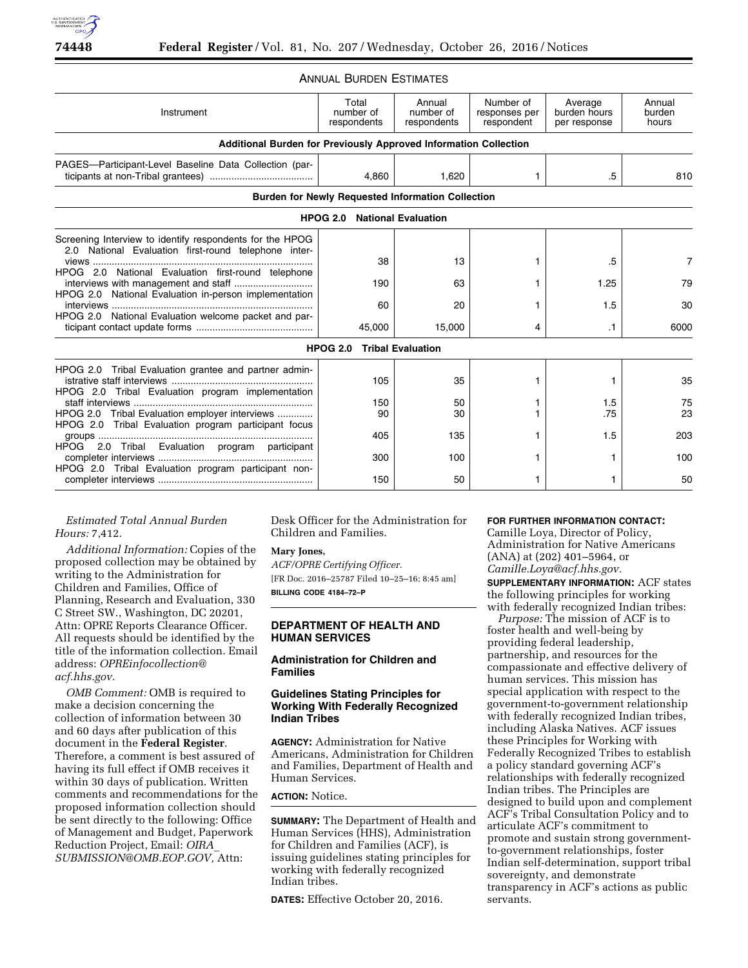## ANNUAL BURDEN ESTIMATES

| Instrument<br><b>Additional Burden for Previously Approved Information Collection</b>                                                                                                                                           | Total<br>number of<br>respondents                        | Annual<br>number of<br>respondents | Number of<br>responses per<br>respondent | Average<br>burden hours<br>per response | Annual<br>burden<br>hours |
|---------------------------------------------------------------------------------------------------------------------------------------------------------------------------------------------------------------------------------|----------------------------------------------------------|------------------------------------|------------------------------------------|-----------------------------------------|---------------------------|
| PAGES-Participant-Level Baseline Data Collection (par-                                                                                                                                                                          | 4,860                                                    | 1,620                              |                                          | .5                                      | 810                       |
|                                                                                                                                                                                                                                 | <b>Burden for Newly Requested Information Collection</b> |                                    |                                          |                                         |                           |
|                                                                                                                                                                                                                                 | <b>HPOG 2.0 National Evaluation</b>                      |                                    |                                          |                                         |                           |
| Screening Interview to identify respondents for the HPOG<br>2.0 National Evaluation first-round telephone inter-<br>HPOG 2.0 National Evaluation first-round telephone<br>HPOG 2.0 National Evaluation in-person implementation | 38<br>190<br>60                                          | 13<br>63<br>20                     |                                          | .5<br>1.25<br>1.5                       | 7<br>79<br>30             |
| HPOG 2.0 National Evaluation welcome packet and par-                                                                                                                                                                            | 45,000                                                   | 15,000                             | 4                                        | .1                                      | 6000                      |
|                                                                                                                                                                                                                                 | <b>HPOG 2.0</b>                                          | <b>Tribal Evaluation</b>           |                                          |                                         |                           |
| HPOG 2.0 Tribal Evaluation grantee and partner admin-<br>HPOG 2.0 Tribal Evaluation program implementation                                                                                                                      | 105                                                      | 35                                 |                                          |                                         | 35                        |
| HPOG 2.0 Tribal Evaluation employer interviews<br>HPOG 2.0 Tribal Evaluation program participant focus                                                                                                                          | 150<br>90                                                | 50<br>30                           |                                          | 1.5<br>.75                              | 75<br>23                  |
| HPOG 2.0 Tribal Evaluation program participant                                                                                                                                                                                  | 405<br>300                                               | 135<br>100                         |                                          | 1.5                                     | 203<br>100                |
| HPOG 2.0 Tribal Evaluation program participant non-                                                                                                                                                                             | 150                                                      | 50                                 |                                          |                                         | 50                        |

## *Estimated Total Annual Burden Hours:* 7,412.

*Additional Information:* Copies of the proposed collection may be obtained by writing to the Administration for Children and Families, Office of Planning, Research and Evaluation, 330 C Street SW., Washington, DC 20201, Attn: OPRE Reports Clearance Officer. All requests should be identified by the title of the information collection. Email address: *[OPREinfocollection@](mailto:OPREinfocollection@acf.hhs.gov) [acf.hhs.gov.](mailto:OPREinfocollection@acf.hhs.gov)* 

*OMB Comment:* OMB is required to make a decision concerning the collection of information between 30 and 60 days after publication of this document in the **Federal Register**. Therefore, a comment is best assured of having its full effect if OMB receives it within 30 days of publication. Written comments and recommendations for the proposed information collection should be sent directly to the following: Office of Management and Budget, Paperwork Reduction Project, Email: *[OIRA](mailto:OIRA_SUBMISSION@OMB.EOP.GOV)*\_ *[SUBMISSION@OMB.EOP.GOV,](mailto:OIRA_SUBMISSION@OMB.EOP.GOV)* Attn:

Desk Officer for the Administration for Children and Families.

#### **Mary Jones,**

*ACF/OPRE Certifying Officer.*  [FR Doc. 2016–25787 Filed 10–25–16; 8:45 am] **BILLING CODE 4184–72–P** 

### **DEPARTMENT OF HEALTH AND HUMAN SERVICES**

### **Administration for Children and Families**

### **Guidelines Stating Principles for Working With Federally Recognized Indian Tribes**

**AGENCY:** Administration for Native Americans, Administration for Children and Families, Department of Health and Human Services.

### **ACTION:** Notice.

**SUMMARY:** The Department of Health and Human Services (HHS), Administration for Children and Families (ACF), is issuing guidelines stating principles for working with federally recognized Indian tribes.

**DATES:** Effective October 20, 2016.

### **FOR FURTHER INFORMATION CONTACT:**

Camille Loya, Director of Policy, Administration for Native Americans (ANA) at (202) 401–5964, or *[Camille.Loya@acf.hhs.gov.](mailto:Camille.Loya@acf.hhs.gov)* 

**SUPPLEMENTARY INFORMATION:** ACF states the following principles for working with federally recognized Indian tribes:

*Purpose:* The mission of ACF is to foster health and well-being by providing federal leadership, partnership, and resources for the compassionate and effective delivery of human services. This mission has special application with respect to the government-to-government relationship with federally recognized Indian tribes, including Alaska Natives. ACF issues these Principles for Working with Federally Recognized Tribes to establish a policy standard governing ACF's relationships with federally recognized Indian tribes. The Principles are designed to build upon and complement ACF's Tribal Consultation Policy and to articulate ACF's commitment to promote and sustain strong governmentto-government relationships, foster Indian self-determination, support tribal sovereignty, and demonstrate transparency in ACF's actions as public servants.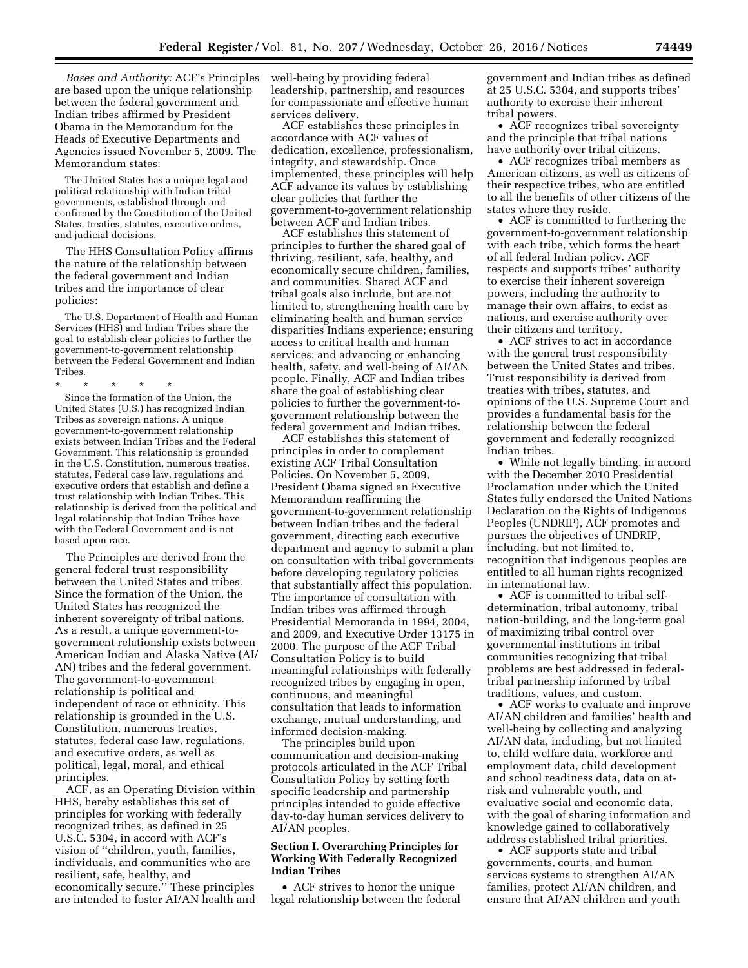*Bases and Authority:* ACF's Principles are based upon the unique relationship between the federal government and Indian tribes affirmed by President Obama in the Memorandum for the Heads of Executive Departments and Agencies issued November 5, 2009. The Memorandum states:

The United States has a unique legal and political relationship with Indian tribal governments, established through and confirmed by the Constitution of the United States, treaties, statutes, executive orders, and judicial decisions.

The HHS Consultation Policy affirms the nature of the relationship between the federal government and Indian tribes and the importance of clear policies:

The U.S. Department of Health and Human Services (HHS) and Indian Tribes share the goal to establish clear policies to further the government-to-government relationship between the Federal Government and Indian Tribes.

\* \* \* \* \* Since the formation of the Union, the United States (U.S.) has recognized Indian Tribes as sovereign nations. A unique government-to-government relationship exists between Indian Tribes and the Federal Government. This relationship is grounded in the U.S. Constitution, numerous treaties, statutes, Federal case law, regulations and executive orders that establish and define a trust relationship with Indian Tribes. This relationship is derived from the political and legal relationship that Indian Tribes have with the Federal Government and is not based upon race.

The Principles are derived from the general federal trust responsibility between the United States and tribes. Since the formation of the Union, the United States has recognized the inherent sovereignty of tribal nations. As a result, a unique government-togovernment relationship exists between American Indian and Alaska Native (AI/ AN) tribes and the federal government. The government-to-government relationship is political and independent of race or ethnicity. This relationship is grounded in the U.S. Constitution, numerous treaties, statutes, federal case law, regulations, and executive orders, as well as political, legal, moral, and ethical principles.

ACF, as an Operating Division within HHS, hereby establishes this set of principles for working with federally recognized tribes, as defined in 25 U.S.C. 5304, in accord with ACF's vision of ''children, youth, families, individuals, and communities who are resilient, safe, healthy, and economically secure.'' These principles are intended to foster AI/AN health and well-being by providing federal leadership, partnership, and resources for compassionate and effective human services delivery.

ACF establishes these principles in accordance with ACF values of dedication, excellence, professionalism, integrity, and stewardship. Once implemented, these principles will help ACF advance its values by establishing clear policies that further the government-to-government relationship between ACF and Indian tribes.

ACF establishes this statement of principles to further the shared goal of thriving, resilient, safe, healthy, and economically secure children, families, and communities. Shared ACF and tribal goals also include, but are not limited to, strengthening health care by eliminating health and human service disparities Indians experience; ensuring access to critical health and human services; and advancing or enhancing health, safety, and well-being of AI/AN people. Finally, ACF and Indian tribes share the goal of establishing clear policies to further the government-togovernment relationship between the federal government and Indian tribes.

ACF establishes this statement of principles in order to complement existing ACF Tribal Consultation Policies. On November 5, 2009, President Obama signed an Executive Memorandum reaffirming the government-to-government relationship between Indian tribes and the federal government, directing each executive department and agency to submit a plan on consultation with tribal governments before developing regulatory policies that substantially affect this population. The importance of consultation with Indian tribes was affirmed through Presidential Memoranda in 1994, 2004, and 2009, and Executive Order 13175 in 2000. The purpose of the ACF Tribal Consultation Policy is to build meaningful relationships with federally recognized tribes by engaging in open, continuous, and meaningful consultation that leads to information exchange, mutual understanding, and informed decision-making.

The principles build upon communication and decision-making protocols articulated in the ACF Tribal Consultation Policy by setting forth specific leadership and partnership principles intended to guide effective day-to-day human services delivery to AI/AN peoples.

### **Section I. Overarching Principles for Working With Federally Recognized Indian Tribes**

• ACF strives to honor the unique legal relationship between the federal government and Indian tribes as defined at 25 U.S.C. 5304, and supports tribes' authority to exercise their inherent tribal powers.

• ACF recognizes tribal sovereignty and the principle that tribal nations have authority over tribal citizens.

• ACF recognizes tribal members as American citizens, as well as citizens of their respective tribes, who are entitled to all the benefits of other citizens of the states where they reside.

• ACF is committed to furthering the government-to-government relationship with each tribe, which forms the heart of all federal Indian policy. ACF respects and supports tribes' authority to exercise their inherent sovereign powers, including the authority to manage their own affairs, to exist as nations, and exercise authority over their citizens and territory.

• ACF strives to act in accordance with the general trust responsibility between the United States and tribes. Trust responsibility is derived from treaties with tribes, statutes, and opinions of the U.S. Supreme Court and provides a fundamental basis for the relationship between the federal government and federally recognized Indian tribes.

• While not legally binding, in accord with the December 2010 Presidential Proclamation under which the United States fully endorsed the United Nations Declaration on the Rights of Indigenous Peoples (UNDRIP), ACF promotes and pursues the objectives of UNDRIP, including, but not limited to, recognition that indigenous peoples are entitled to all human rights recognized in international law.

• ACF is committed to tribal selfdetermination, tribal autonomy, tribal nation-building, and the long-term goal of maximizing tribal control over governmental institutions in tribal communities recognizing that tribal problems are best addressed in federaltribal partnership informed by tribal traditions, values, and custom.

• ACF works to evaluate and improve AI/AN children and families' health and well-being by collecting and analyzing AI/AN data, including, but not limited to, child welfare data, workforce and employment data, child development and school readiness data, data on atrisk and vulnerable youth, and evaluative social and economic data, with the goal of sharing information and knowledge gained to collaboratively address established tribal priorities.

• ACF supports state and tribal governments, courts, and human services systems to strengthen AI/AN families, protect AI/AN children, and ensure that AI/AN children and youth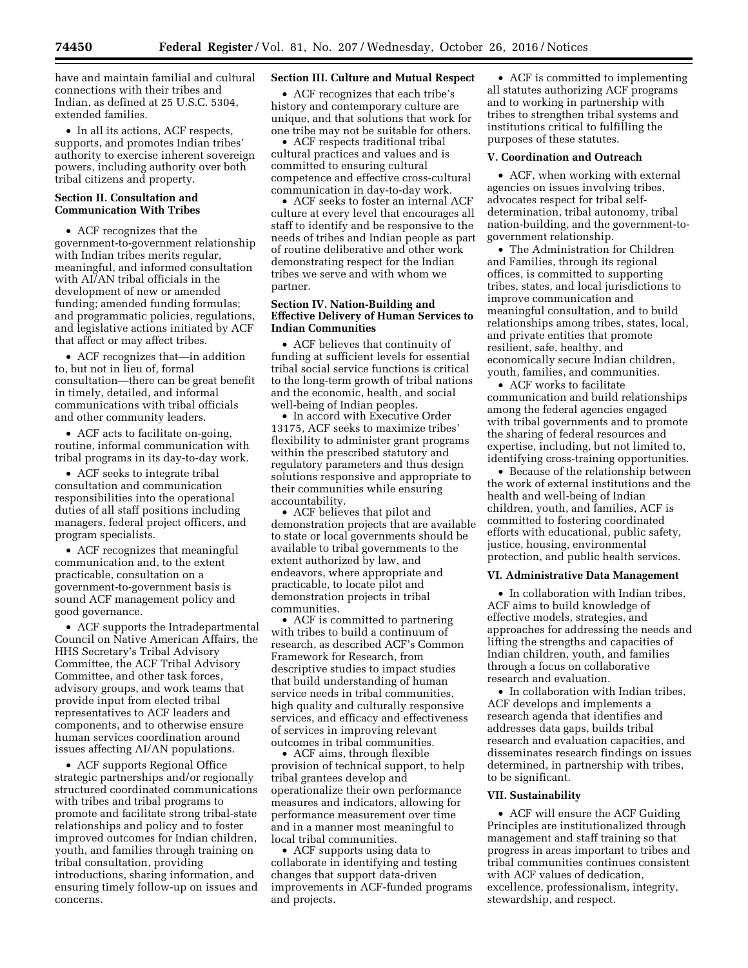have and maintain familial and cultural connections with their tribes and Indian, as defined at 25 U.S.C. 5304, extended families.

• In all its actions, ACF respects, supports, and promotes Indian tribes' authority to exercise inherent sovereign powers, including authority over both tribal citizens and property.

### **Section II. Consultation and Communication With Tribes**

• ACF recognizes that the government-to-government relationship with Indian tribes merits regular, meaningful, and informed consultation with AI/AN tribal officials in the development of new or amended funding; amended funding formulas; and programmatic policies, regulations, and legislative actions initiated by ACF that affect or may affect tribes.

• ACF recognizes that—in addition to, but not in lieu of, formal consultation—there can be great benefit in timely, detailed, and informal communications with tribal officials and other community leaders.

• ACF acts to facilitate on-going, routine, informal communication with tribal programs in its day-to-day work.

• ACF seeks to integrate tribal consultation and communication responsibilities into the operational duties of all staff positions including managers, federal project officers, and program specialists.

• ACF recognizes that meaningful communication and, to the extent practicable, consultation on a government-to-government basis is sound ACF management policy and good governance.

• ACF supports the Intradepartmental Council on Native American Affairs, the HHS Secretary's Tribal Advisory Committee, the ACF Tribal Advisory Committee, and other task forces, advisory groups, and work teams that provide input from elected tribal representatives to ACF leaders and components, and to otherwise ensure human services coordination around issues affecting AI/AN populations.

• ACF supports Regional Office strategic partnerships and/or regionally structured coordinated communications with tribes and tribal programs to promote and facilitate strong tribal-state relationships and policy and to foster improved outcomes for Indian children, youth, and families through training on tribal consultation, providing introductions, sharing information, and ensuring timely follow-up on issues and concerns.

#### **Section III. Culture and Mutual Respect**

• ACF recognizes that each tribe's history and contemporary culture are unique, and that solutions that work for one tribe may not be suitable for others.

• ACF respects traditional tribal cultural practices and values and is committed to ensuring cultural competence and effective cross-cultural communication in day-to-day work.

• ACF seeks to foster an internal ACF culture at every level that encourages all staff to identify and be responsive to the needs of tribes and Indian people as part of routine deliberative and other work demonstrating respect for the Indian tribes we serve and with whom we partner.

### **Section IV. Nation-Building and Effective Delivery of Human Services to Indian Communities**

• ACF believes that continuity of funding at sufficient levels for essential tribal social service functions is critical to the long-term growth of tribal nations and the economic, health, and social well-being of Indian peoples.

• In accord with Executive Order 13175, ACF seeks to maximize tribes' flexibility to administer grant programs within the prescribed statutory and regulatory parameters and thus design solutions responsive and appropriate to their communities while ensuring accountability.

• ACF believes that pilot and demonstration projects that are available to state or local governments should be available to tribal governments to the extent authorized by law, and endeavors, where appropriate and practicable, to locate pilot and demonstration projects in tribal communities.

• ACF is committed to partnering with tribes to build a continuum of research, as described ACF's Common Framework for Research, from descriptive studies to impact studies that build understanding of human service needs in tribal communities, high quality and culturally responsive services, and efficacy and effectiveness of services in improving relevant outcomes in tribal communities.

• ACF aims, through flexible provision of technical support, to help tribal grantees develop and operationalize their own performance measures and indicators, allowing for performance measurement over time and in a manner most meaningful to local tribal communities.

• ACF supports using data to collaborate in identifying and testing changes that support data-driven improvements in ACF-funded programs and projects.

• ACF is committed to implementing all statutes authorizing ACF programs and to working in partnership with tribes to strengthen tribal systems and institutions critical to fulfilling the purposes of these statutes.

### **V. Coordination and Outreach**

• ACF, when working with external agencies on issues involving tribes, advocates respect for tribal selfdetermination, tribal autonomy, tribal nation-building, and the government-togovernment relationship.

• The Administration for Children and Families, through its regional offices, is committed to supporting tribes, states, and local jurisdictions to improve communication and meaningful consultation, and to build relationships among tribes, states, local, and private entities that promote resilient, safe, healthy, and economically secure Indian children, youth, families, and communities.

• ACF works to facilitate communication and build relationships among the federal agencies engaged with tribal governments and to promote the sharing of federal resources and expertise, including, but not limited to, identifying cross-training opportunities.

• Because of the relationship between the work of external institutions and the health and well-being of Indian children, youth, and families, ACF is committed to fostering coordinated efforts with educational, public safety, justice, housing, environmental protection, and public health services.

### **VI. Administrative Data Management**

• In collaboration with Indian tribes, ACF aims to build knowledge of effective models, strategies, and approaches for addressing the needs and lifting the strengths and capacities of Indian children, youth, and families through a focus on collaborative research and evaluation.

• In collaboration with Indian tribes, ACF develops and implements a research agenda that identifies and addresses data gaps, builds tribal research and evaluation capacities, and disseminates research findings on issues determined, in partnership with tribes, to be significant.

#### **VII. Sustainability**

• ACF will ensure the ACF Guiding Principles are institutionalized through management and staff training so that progress in areas important to tribes and tribal communities continues consistent with ACF values of dedication, excellence, professionalism, integrity, stewardship, and respect.